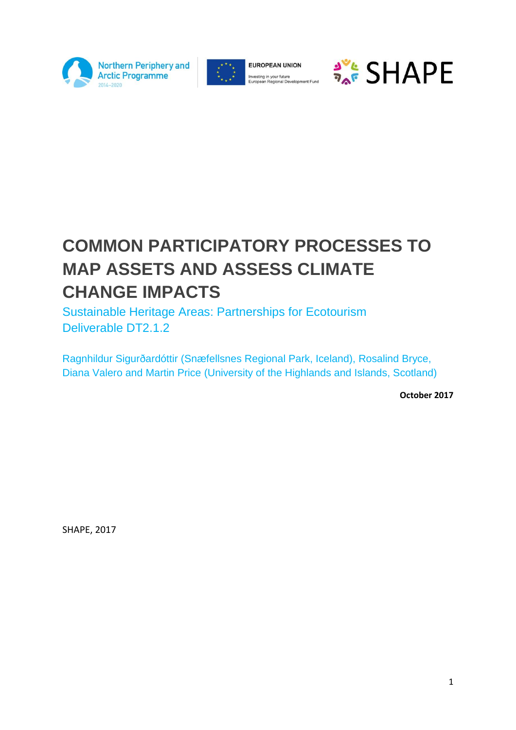



**EUROPEAN UNION** Investing in your future<br>European Regional Development Fund



# **COMMON PARTICIPATORY PROCESSES TO MAP ASSETS AND ASSESS CLIMATE CHANGE IMPACTS**

Sustainable Heritage Areas: Partnerships for Ecotourism Deliverable DT2.1.2

Ragnhildur Sigurðardóttir (Snæfellsnes Regional Park, Iceland), Rosalind Bryce, Diana Valero and Martin Price (University of the Highlands and Islands, Scotland)

**October 2017**

SHAPE, 2017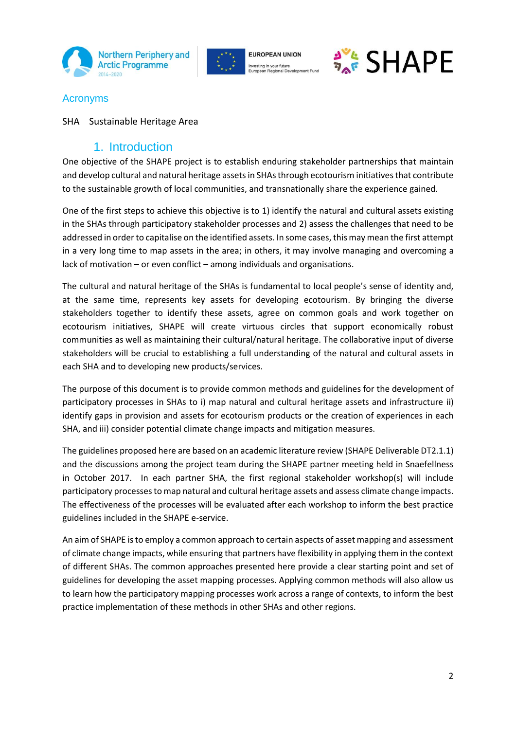





## Acronyms

SHA Sustainable Heritage Area

## 1. Introduction

One objective of the SHAPE project is to establish enduring stakeholder partnerships that maintain and develop cultural and natural heritage assets in SHAs through ecotourism initiatives that contribute to the sustainable growth of local communities, and transnationally share the experience gained.

One of the first steps to achieve this objective is to 1) identify the natural and cultural assets existing in the SHAs through participatory stakeholder processes and 2) assess the challenges that need to be addressed in order to capitalise on the identified assets. In some cases, this may mean the first attempt in a very long time to map assets in the area; in others, it may involve managing and overcoming a lack of motivation – or even conflict – among individuals and organisations.

The cultural and natural heritage of the SHAs is fundamental to local people's sense of identity and, at the same time, represents key assets for developing ecotourism. By bringing the diverse stakeholders together to identify these assets, agree on common goals and work together on ecotourism initiatives, SHAPE will create virtuous circles that support economically robust communities as well as maintaining their cultural/natural heritage. The collaborative input of diverse stakeholders will be crucial to establishing a full understanding of the natural and cultural assets in each SHA and to developing new products/services.

The purpose of this document is to provide common methods and guidelines for the development of participatory processes in SHAs to i) map natural and cultural heritage assets and infrastructure ii) identify gaps in provision and assets for ecotourism products or the creation of experiences in each SHA, and iii) consider potential climate change impacts and mitigation measures.

The guidelines proposed here are based on an academic literature review (SHAPE Deliverable DT2.1.1) and the discussions among the project team during the SHAPE partner meeting held in Snaefellness in October 2017. In each partner SHA, the first regional stakeholder workshop(s) will include participatory processes to map natural and cultural heritage assets and assess climate change impacts. The effectiveness of the processes will be evaluated after each workshop to inform the best practice guidelines included in the SHAPE e-service.

An aim of SHAPE isto employ a common approach to certain aspects of asset mapping and assessment of climate change impacts, while ensuring that partners have flexibility in applying them in the context of different SHAs. The common approaches presented here provide a clear starting point and set of guidelines for developing the asset mapping processes. Applying common methods will also allow us to learn how the participatory mapping processes work across a range of contexts, to inform the best practice implementation of these methods in other SHAs and other regions.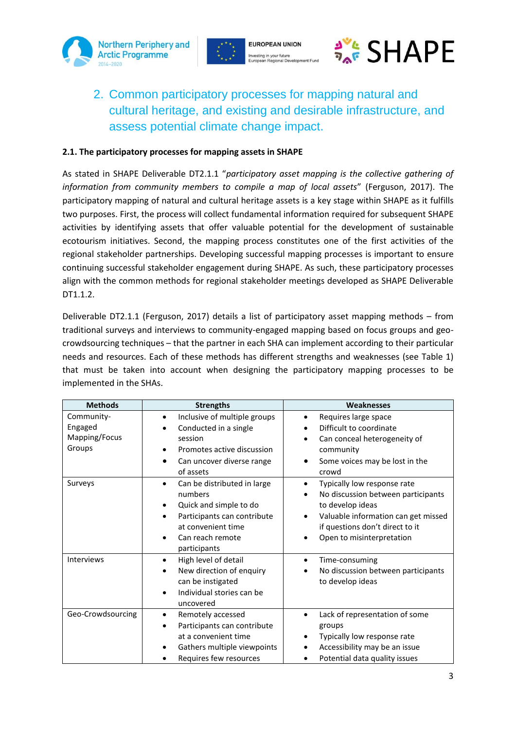





# 2. Common participatory processes for mapping natural and cultural heritage, and existing and desirable infrastructure, and assess potential climate change impact.

#### **2.1. The participatory processes for mapping assets in SHAPE**

As stated in SHAPE Deliverable DT2.1.1 "*participatory asset mapping is the collective gathering of information from community members to compile a map of local assets*" (Ferguson, 2017). The participatory mapping of natural and cultural heritage assets is a key stage within SHAPE as it fulfills two purposes. First, the process will collect fundamental information required for subsequent SHAPE activities by identifying assets that offer valuable potential for the development of sustainable ecotourism initiatives. Second, the mapping process constitutes one of the first activities of the regional stakeholder partnerships. Developing successful mapping processes is important to ensure continuing successful stakeholder engagement during SHAPE. As such, these participatory processes align with the common methods for regional stakeholder meetings developed as SHAPE Deliverable DT1.1.2.

Deliverable DT2.1.1 (Ferguson, 2017) details a list of participatory asset mapping methods – from traditional surveys and interviews to community-engaged mapping based on focus groups and geocrowdsourcing techniques – that the partner in each SHA can implement according to their particular needs and resources. Each of these methods has different strengths and weaknesses (see Table 1) that must be taken into account when designing the participatory mapping processes to be implemented in the SHAs.

| <b>Methods</b>    | <b>Strengths</b>                          | <b>Weaknesses</b>                                |
|-------------------|-------------------------------------------|--------------------------------------------------|
| Community-        | Inclusive of multiple groups<br>$\bullet$ | Requires large space                             |
| Engaged           | Conducted in a single                     | Difficult to coordinate                          |
| Mapping/Focus     | session                                   | Can conceal heterogeneity of                     |
| Groups            | Promotes active discussion<br>$\bullet$   | community                                        |
|                   | Can uncover diverse range<br>$\bullet$    | Some voices may be lost in the                   |
|                   | of assets                                 | crowd                                            |
| Surveys           | Can be distributed in large<br>$\bullet$  | Typically low response rate<br>$\bullet$         |
|                   | numbers                                   | No discussion between participants               |
|                   | Quick and simple to do                    | to develop ideas                                 |
|                   | Participants can contribute<br>$\bullet$  | Valuable information can get missed<br>$\bullet$ |
|                   | at convenient time                        | if questions don't direct to it                  |
|                   | Can reach remote<br>$\bullet$             | Open to misinterpretation                        |
|                   | participants                              |                                                  |
| Interviews        | High level of detail<br>$\bullet$         | Time-consuming<br>$\bullet$                      |
|                   | New direction of enquiry                  | No discussion between participants               |
|                   | can be instigated                         | to develop ideas                                 |
|                   | Individual stories can be                 |                                                  |
|                   | uncovered                                 |                                                  |
| Geo-Crowdsourcing | Remotely accessed<br>$\bullet$            | Lack of representation of some<br>$\bullet$      |
|                   | Participants can contribute               | groups                                           |
|                   | at a convenient time                      | Typically low response rate                      |
|                   | Gathers multiple viewpoints               | Accessibility may be an issue                    |
|                   | Requires few resources                    | Potential data quality issues                    |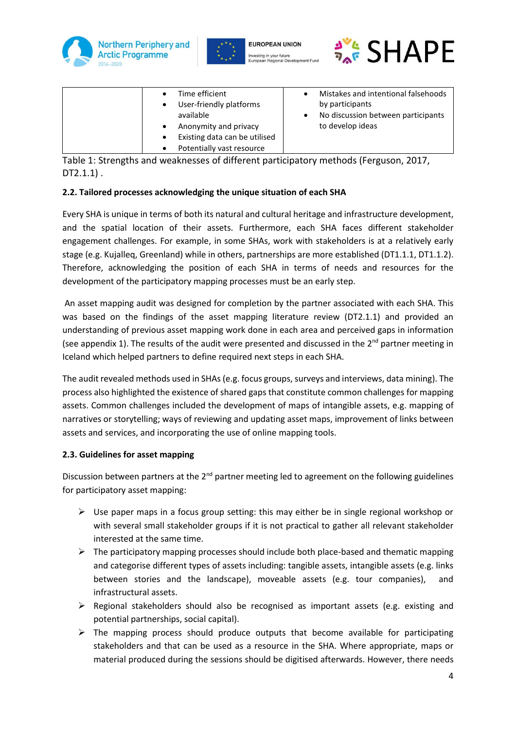







| $\bullet$ | Time efficient                | Mistakes and intentional falsehoods |
|-----------|-------------------------------|-------------------------------------|
| $\bullet$ | User-friendly platforms       | by participants                     |
|           | available                     | No discussion between participants  |
| $\bullet$ | Anonymity and privacy         | to develop ideas                    |
| $\bullet$ | Existing data can be utilised |                                     |
| $\bullet$ | Potentially vast resource     |                                     |

Table 1: Strengths and weaknesses of different participatory methods (Ferguson, 2017, DT2.1.1) .

#### **2.2. Tailored processes acknowledging the unique situation of each SHA**

Every SHA is unique in terms of both its natural and cultural heritage and infrastructure development, and the spatial location of their assets. Furthermore, each SHA faces different stakeholder engagement challenges. For example, in some SHAs, work with stakeholders is at a relatively early stage (e.g. Kujalleq, Greenland) while in others, partnerships are more established (DT1.1.1, DT1.1.2). Therefore, acknowledging the position of each SHA in terms of needs and resources for the development of the participatory mapping processes must be an early step.

An asset mapping audit was designed for completion by the partner associated with each SHA. This was based on the findings of the asset mapping literature review (DT2.1.1) and provided an understanding of previous asset mapping work done in each area and perceived gaps in information (see appendix 1). The results of the audit were presented and discussed in the  $2^{nd}$  partner meeting in Iceland which helped partners to define required next steps in each SHA.

The audit revealed methods used in SHAs (e.g. focus groups, surveys and interviews, data mining). The process also highlighted the existence of shared gaps that constitute common challenges for mapping assets. Common challenges included the development of maps of intangible assets, e.g. mapping of narratives or storytelling; ways of reviewing and updating asset maps, improvement of links between assets and services, and incorporating the use of online mapping tools.

#### **2.3. Guidelines for asset mapping**

Discussion between partners at the  $2<sup>nd</sup>$  partner meeting led to agreement on the following guidelines for participatory asset mapping:

- $\triangleright$  Use paper maps in a focus group setting: this may either be in single regional workshop or with several small stakeholder groups if it is not practical to gather all relevant stakeholder interested at the same time.
- $\triangleright$  The participatory mapping processes should include both place-based and thematic mapping and categorise different types of assets including: tangible assets, intangible assets (e.g. links between stories and the landscape), moveable assets (e.g. tour companies), and infrastructural assets.
- $\triangleright$  Regional stakeholders should also be recognised as important assets (e.g. existing and potential partnerships, social capital).
- $\triangleright$  The mapping process should produce outputs that become available for participating stakeholders and that can be used as a resource in the SHA. Where appropriate, maps or material produced during the sessions should be digitised afterwards. However, there needs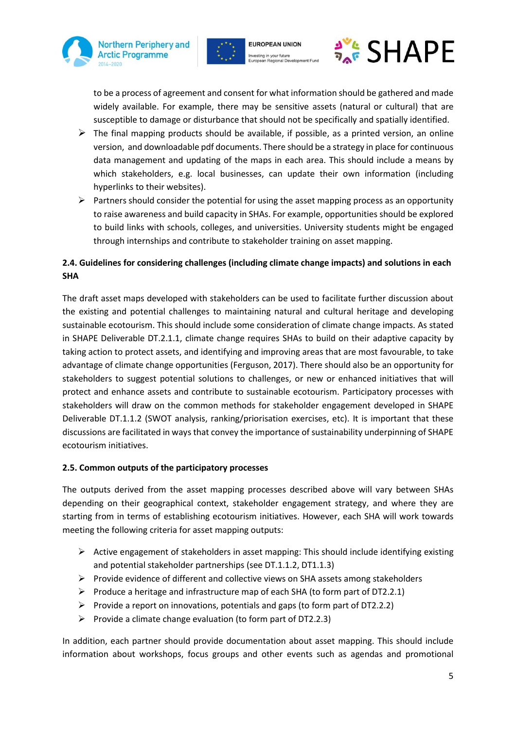





to be a process of agreement and consent for what information should be gathered and made widely available. For example, there may be sensitive assets (natural or cultural) that are susceptible to damage or disturbance that should not be specifically and spatially identified.

- $\triangleright$  The final mapping products should be available, if possible, as a printed version, an online version, and downloadable pdf documents. There should be a strategy in place for continuous data management and updating of the maps in each area. This should include a means by which stakeholders, e.g. local businesses, can update their own information (including hyperlinks to their websites).
- $\triangleright$  Partners should consider the potential for using the asset mapping process as an opportunity to raise awareness and build capacity in SHAs. For example, opportunities should be explored to build links with schools, colleges, and universities. University students might be engaged through internships and contribute to stakeholder training on asset mapping.

#### **2.4. Guidelines for considering challenges (including climate change impacts) and solutions in each SHA**

The draft asset maps developed with stakeholders can be used to facilitate further discussion about the existing and potential challenges to maintaining natural and cultural heritage and developing sustainable ecotourism. This should include some consideration of climate change impacts. As stated in SHAPE Deliverable DT.2.1.1, climate change requires SHAs to build on their adaptive capacity by taking action to protect assets, and identifying and improving areas that are most favourable, to take advantage of climate change opportunities (Ferguson, 2017). There should also be an opportunity for stakeholders to suggest potential solutions to challenges, or new or enhanced initiatives that will protect and enhance assets and contribute to sustainable ecotourism. Participatory processes with stakeholders will draw on the common methods for stakeholder engagement developed in SHAPE Deliverable DT.1.1.2 (SWOT analysis, ranking/priorisation exercises, etc). It is important that these discussions are facilitated in ways that convey the importance of sustainability underpinning of SHAPE ecotourism initiatives.

#### **2.5. Common outputs of the participatory processes**

The outputs derived from the asset mapping processes described above will vary between SHAs depending on their geographical context, stakeholder engagement strategy, and where they are starting from in terms of establishing ecotourism initiatives. However, each SHA will work towards meeting the following criteria for asset mapping outputs:

- $\triangleright$  Active engagement of stakeholders in asset mapping: This should include identifying existing and potential stakeholder partnerships (see DT.1.1.2, DT1.1.3)
- $\triangleright$  Provide evidence of different and collective views on SHA assets among stakeholders
- $\triangleright$  Produce a heritage and infrastructure map of each SHA (to form part of DT2.2.1)
- $\triangleright$  Provide a report on innovations, potentials and gaps (to form part of DT2.2.2)
- Provide a climate change evaluation (to form part of DT2.2.3)

In addition, each partner should provide documentation about asset mapping. This should include information about workshops, focus groups and other events such as agendas and promotional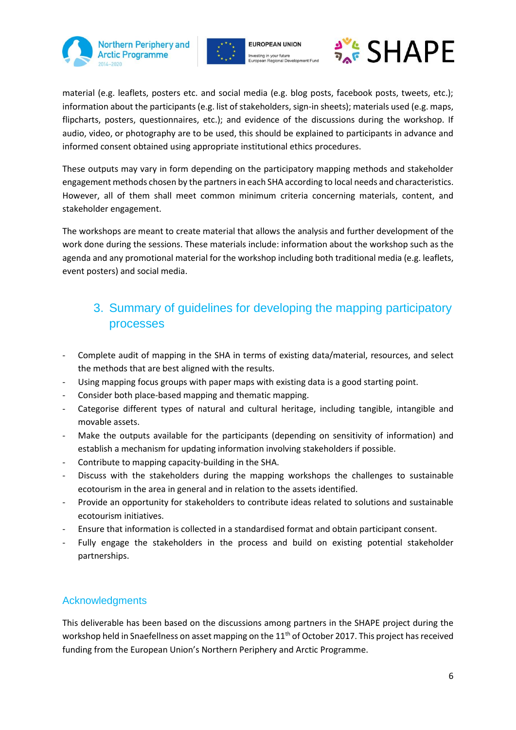



**SHAPE** 

material (e.g. leaflets, posters etc. and social media (e.g. blog posts, facebook posts, tweets, etc.); information about the participants (e.g. list of stakeholders, sign-in sheets); materials used (e.g. maps, flipcharts, posters, questionnaires, etc.); and evidence of the discussions during the workshop. If audio, video, or photography are to be used, this should be explained to participants in advance and informed consent obtained using appropriate institutional ethics procedures.

These outputs may vary in form depending on the participatory mapping methods and stakeholder engagement methods chosen by the partners in each SHA according to local needs and characteristics. However, all of them shall meet common minimum criteria concerning materials, content, and stakeholder engagement.

The workshops are meant to create material that allows the analysis and further development of the work done during the sessions. These materials include: information about the workshop such as the agenda and any promotional material for the workshop including both traditional media (e.g. leaflets, event posters) and social media.

# 3. Summary of guidelines for developing the mapping participatory processes

- Complete audit of mapping in the SHA in terms of existing data/material, resources, and select the methods that are best aligned with the results.
- Using mapping focus groups with paper maps with existing data is a good starting point.
- Consider both place-based mapping and thematic mapping.
- Categorise different types of natural and cultural heritage, including tangible, intangible and movable assets.
- Make the outputs available for the participants (depending on sensitivity of information) and establish a mechanism for updating information involving stakeholders if possible.
- Contribute to mapping capacity-building in the SHA.
- Discuss with the stakeholders during the mapping workshops the challenges to sustainable ecotourism in the area in general and in relation to the assets identified.
- Provide an opportunity for stakeholders to contribute ideas related to solutions and sustainable ecotourism initiatives.
- Ensure that information is collected in a standardised format and obtain participant consent.
- Fully engage the stakeholders in the process and build on existing potential stakeholder partnerships.

## Acknowledgments

This deliverable has been based on the discussions among partners in the SHAPE project during the workshop held in Snaefellness on asset mapping on the 11<sup>th</sup> of October 2017. This project has received funding from the European Union's Northern Periphery and Arctic Programme.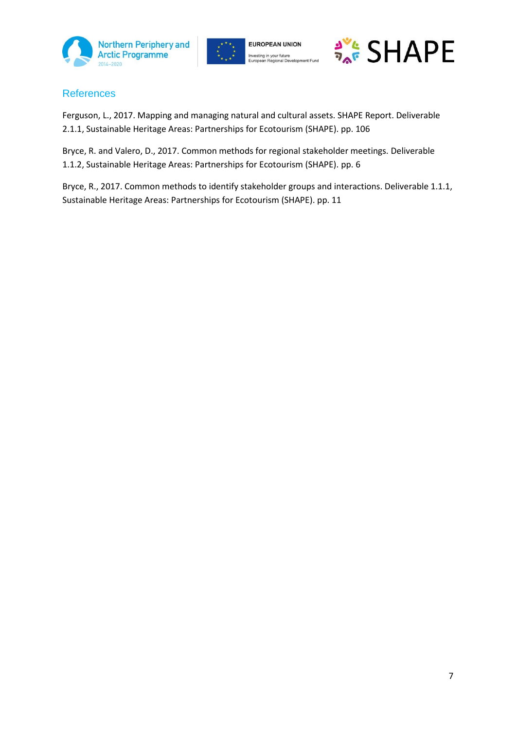





## **References**

Ferguson, L., 2017. Mapping and managing natural and cultural assets. SHAPE Report. Deliverable 2.1.1, Sustainable Heritage Areas: Partnerships for Ecotourism (SHAPE). pp. 106

Bryce, R. and Valero, D., 2017. Common methods for regional stakeholder meetings. Deliverable 1.1.2, Sustainable Heritage Areas: Partnerships for Ecotourism (SHAPE). pp. 6

Bryce, R., 2017. Common methods to identify stakeholder groups and interactions. Deliverable 1.1.1, Sustainable Heritage Areas: Partnerships for Ecotourism (SHAPE). pp. 11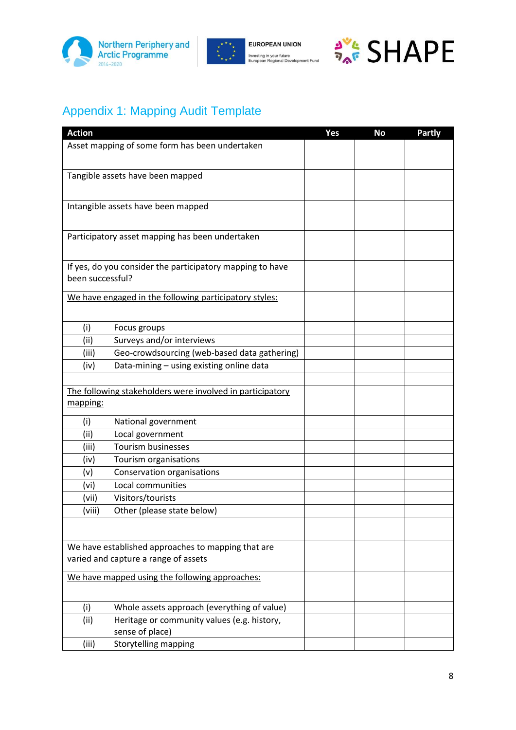



**EUROPEAN UNION** Investing in your future<br>European Regional Development Fund



# Appendix 1: Mapping Audit Template

| <b>Action</b>    |                                                                                            | Yes | <b>No</b> | <b>Partly</b> |
|------------------|--------------------------------------------------------------------------------------------|-----|-----------|---------------|
|                  | Asset mapping of some form has been undertaken                                             |     |           |               |
|                  | Tangible assets have been mapped                                                           |     |           |               |
|                  | Intangible assets have been mapped                                                         |     |           |               |
|                  | Participatory asset mapping has been undertaken                                            |     |           |               |
| been successful? | If yes, do you consider the participatory mapping to have                                  |     |           |               |
|                  | We have engaged in the following participatory styles:                                     |     |           |               |
| (i)              | Focus groups                                                                               |     |           |               |
| (ii)             | Surveys and/or interviews                                                                  |     |           |               |
| (iii)            | Geo-crowdsourcing (web-based data gathering)                                               |     |           |               |
| (iv)             | Data-mining - using existing online data                                                   |     |           |               |
|                  |                                                                                            |     |           |               |
|                  | The following stakeholders were involved in participatory                                  |     |           |               |
| mapping:         |                                                                                            |     |           |               |
| (i)              | National government                                                                        |     |           |               |
| (ii)             | Local government                                                                           |     |           |               |
| (iii)            | Tourism businesses                                                                         |     |           |               |
| (iv)             | Tourism organisations                                                                      |     |           |               |
| (v)              | Conservation organisations                                                                 |     |           |               |
| (vi)             | Local communities                                                                          |     |           |               |
| (vii)            | Visitors/tourists                                                                          |     |           |               |
| (viii)           | Other (please state below)                                                                 |     |           |               |
|                  |                                                                                            |     |           |               |
|                  | We have established approaches to mapping that are<br>varied and capture a range of assets |     |           |               |
|                  | We have mapped using the following approaches:                                             |     |           |               |
| (i)              | Whole assets approach (everything of value)                                                |     |           |               |
| (ii)             | Heritage or community values (e.g. history,<br>sense of place)                             |     |           |               |
| (iii)            | Storytelling mapping                                                                       |     |           |               |